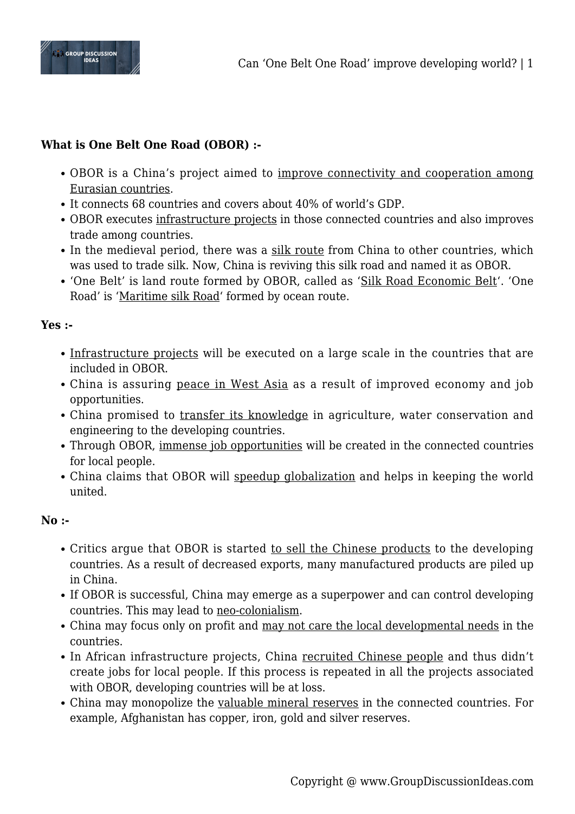

## **What is One Belt One Road (OBOR) :-**

- OBOR is a China's project aimed to improve connectivity and cooperation among Eurasian countries.
- It connects 68 countries and covers about 40% of world's GDP.
- OBOR executes infrastructure projects in those connected countries and also improves trade among countries.
- In the medieval period, there was a silk route from China to other countries, which was used to trade silk. Now, China is reviving this silk road and named it as OBOR.
- 'One Belt' is land route formed by OBOR, called as 'Silk Road Economic Belt'. 'One Road' is 'Maritime silk Road' formed by ocean route.

## **Yes :-**

- Infrastructure projects will be executed on a large scale in the countries that are included in OBOR.
- China is assuring peace in West Asia as a result of improved economy and job opportunities.
- China promised to transfer its knowledge in agriculture, water conservation and engineering to the developing countries.
- Through OBOR, immense job opportunities will be created in the connected countries for local people.
- China claims that OBOR will speedup globalization and helps in keeping the world united.

## **No :-**

- Critics argue that OBOR is started to sell the Chinese products to the developing countries. As a result of decreased exports, many manufactured products are piled up in China.
- If OBOR is successful, China may emerge as a superpower and can control developing countries. This may lead to neo-colonialism.
- China may focus only on profit and may not care the local developmental needs in the countries.
- In African infrastructure projects, China recruited Chinese people and thus didn't create jobs for local people. If this process is repeated in all the projects associated with OBOR, developing countries will be at loss.
- China may monopolize the valuable mineral reserves in the connected countries. For example, Afghanistan has copper, iron, gold and silver reserves.